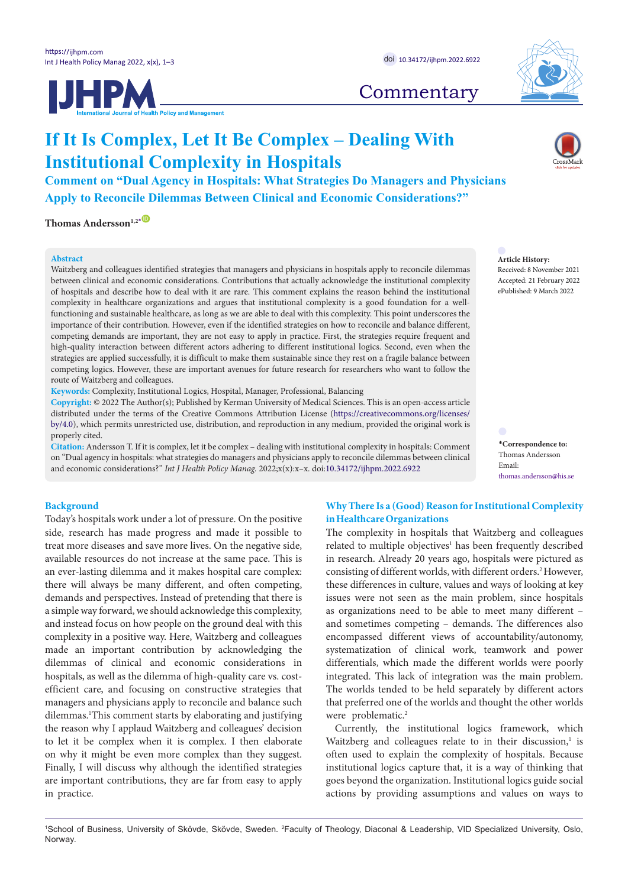**IJHPM** 



# **Commentary**

# **If It Is Complex, Let It Be Complex – Dealing With Institutional Complexity in Hospitals**

**Comment on "Dual Agency in Hospitals: What Strategies Do Managers and Physicians Apply to Reconcile Dilemmas Between Clinical and Economic Considerations?"**

**Thomas Andersson**<sup>1,2</sub>**[\\*](#page-0-0)**</sup>

## **Abstract**

Waitzberg and colleagues identified strategies that managers and physicians in hospitals apply to reconcile dilemmas between clinical and economic considerations. Contributions that actually acknowledge the institutional complexity of hospitals and describe how to deal with it are rare. This comment explains the reason behind the institutional complexity in healthcare organizations and argues that institutional complexity is a good foundation for a wellfunctioning and sustainable healthcare, as long as we are able to deal with this complexity. This point underscores the importance of their contribution. However, even if the identified strategies on how to reconcile and balance different, competing demands are important, they are not easy to apply in practice. First, the strategies require frequent and high-quality interaction between different actors adhering to different institutional logics. Second, even when the strategies are applied successfully, it is difficult to make them sustainable since they rest on a fragile balance between competing logics. However, these are important avenues for future research for researchers who want to follow the route of Waitzberg and colleagues.

**Keywords:** Complexity, Institutional Logics, Hospital, Manager, Professional, Balancing

**Copyright:** © 2022 The Author(s); Published by Kerman University of Medical Sciences. This is an open-access article distributed under the terms of the Creative Commons Attribution License [\(https://creativecommons.org/licenses/](https://creativecommons.org/licenses/by/4.0/) [by/4.0](https://creativecommons.org/licenses/by/4.0/)), which permits unrestricted use, distribution, and reproduction in any medium, provided the original work is properly cited.

**Citation:** Andersson T. If it is complex, let it be complex – dealing with institutional complexity in hospitals: Comment on "Dual agency in hospitals: what strategies do managers and physicians apply to reconcile dilemmas between clinical and economic considerations?" *Int J Health Policy Manag.* 2022;x(x):x–x. doi:[10.34172/ijhpm.2022.6922](https://doi.org/10.34172/ijhpm.2022.6922)

# **Article History:** Received: 8 November 2021

Accepted: 21 February 2022 ePublished: 9 March 2022

<span id="page-0-0"></span>**\*Correspondence to:** Thomas Andersson Email: thomas.andersson@his.se

## **Background**

Today's hospitals work under a lot of pressure. On the positive side, research has made progress and made it possible to treat more diseases and save more lives. On the negative side, available resources do not increase at the same pace. This is an ever-lasting dilemma and it makes hospital care complex: there will always be many different, and often competing, demands and perspectives. Instead of pretending that there is a simple way forward, we should acknowledge this complexity, and instead focus on how people on the ground deal with this complexity in a positive way. Here, Waitzberg and colleagues made an important contribution by acknowledging the dilemmas of clinical and economic considerations in hospitals, as well as the dilemma of high-quality care vs. costefficient care, and focusing on constructive strategies that managers and physicians apply to reconcile and balance such dilemmas.<sup>1</sup>This comment starts by elaborating and justifying the reason why I applaud Waitzberg and colleagues' decision to let it be complex when it is complex. I then elaborate on why it might be even more complex than they suggest. Finally, I will discuss why although the identified strategies are important contributions, they are far from easy to apply in practice.

# **Why There Is a (Good) Reason for Institutional Complexity in Healthcare Organizations**

The complexity in hospitals that Waitzberg and colleagues related to multiple objectives<sup>1</sup> has been frequently described in research. Already 20 years ago, hospitals were pictured as consisting of different worlds, with different orders.2 However, these differences in culture, values and ways of looking at key issues were not seen as the main problem, since hospitals as organizations need to be able to meet many different – and sometimes competing – demands. The differences also encompassed different views of accountability/autonomy, systematization of clinical work, teamwork and power differentials, which made the different worlds were poorly integrated. This lack of integration was the main problem. The worlds tended to be held separately by different actors that preferred one of the worlds and thought the other worlds were problematic.<sup>2</sup>

Currently, the institutional logics framework, which Waitzberg and colleagues relate to in their discussion, $<sup>1</sup>$  is</sup> often used to explain the complexity of hospitals. Because institutional logics capture that, it is a way of thinking that goes beyond the organization. Institutional logics guide social actions by providing assumptions and values on ways to

<sup>&</sup>lt;sup>1</sup>School of Business, University of Skövde, Skövde, Sweden. <sup>2</sup>Faculty of Theology, Diaconal & Leadership, VID Specialized University, Oslo, **Norway**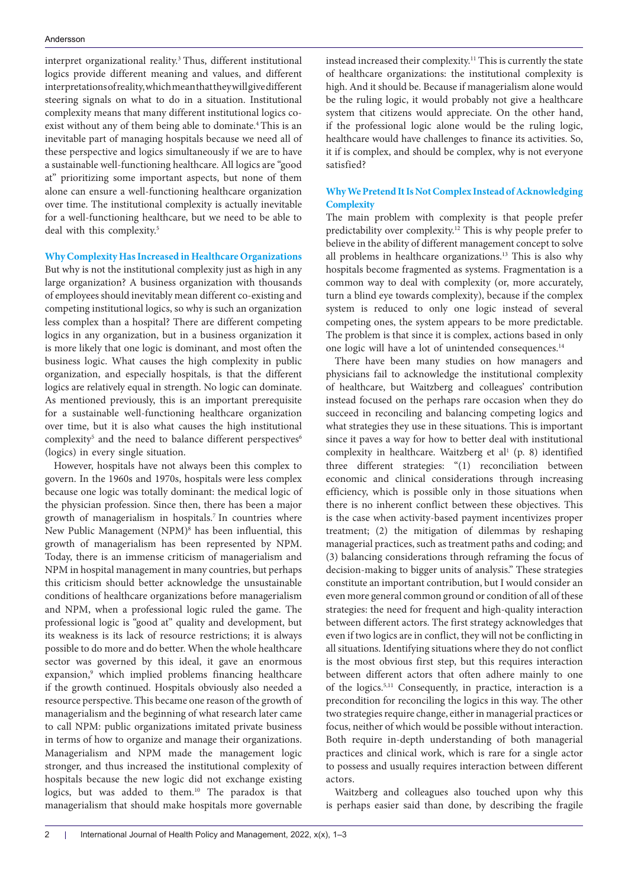#### Andersson

interpret organizational reality.<sup>3</sup> Thus, different institutional logics provide different meaning and values, and different interpretations of reality, which mean that they will give different steering signals on what to do in a situation. Institutional complexity means that many different institutional logics coexist without any of them being able to dominate.<sup>4</sup> This is an inevitable part of managing hospitals because we need all of these perspective and logics simultaneously if we are to have a sustainable well-functioning healthcare. All logics are "good at" prioritizing some important aspects, but none of them alone can ensure a well-functioning healthcare organization over time. The institutional complexity is actually inevitable for a well-functioning healthcare, but we need to be able to deal with this complexity.<sup>5</sup>

## **Why Complexity Has Increased in Healthcare Organizations**

But why is not the institutional complexity just as high in any large organization? A business organization with thousands of employees should inevitably mean different co-existing and competing institutional logics, so why is such an organization less complex than a hospital? There are different competing logics in any organization, but in a business organization it is more likely that one logic is dominant, and most often the business logic. What causes the high complexity in public organization, and especially hospitals, is that the different logics are relatively equal in strength. No logic can dominate. As mentioned previously, this is an important prerequisite for a sustainable well-functioning healthcare organization over time, but it is also what causes the high institutional complexity<sup>5</sup> and the need to balance different perspectives<sup>6</sup> (logics) in every single situation.

However, hospitals have not always been this complex to govern. In the 1960s and 1970s, hospitals were less complex because one logic was totally dominant: the medical logic of the physician profession. Since then, there has been a major growth of managerialism in hospitals.7 In countries where New Public Management (NPM)<sup>8</sup> has been influential, this growth of managerialism has been represented by NPM. Today, there is an immense criticism of managerialism and NPM in hospital management in many countries, but perhaps this criticism should better acknowledge the unsustainable conditions of healthcare organizations before managerialism and NPM, when a professional logic ruled the game. The professional logic is "good at" quality and development, but its weakness is its lack of resource restrictions; it is always possible to do more and do better. When the whole healthcare sector was governed by this ideal, it gave an enormous expansion,<sup>9</sup> which implied problems financing healthcare if the growth continued. Hospitals obviously also needed a resource perspective. This became one reason of the growth of managerialism and the beginning of what research later came to call NPM: public organizations imitated private business in terms of how to organize and manage their organizations. Managerialism and NPM made the management logic stronger, and thus increased the institutional complexity of hospitals because the new logic did not exchange existing logics, but was added to them.10 The paradox is that managerialism that should make hospitals more governable instead increased their complexity.<sup>11</sup> This is currently the state of healthcare organizations: the institutional complexity is high. And it should be. Because if managerialism alone would be the ruling logic, it would probably not give a healthcare system that citizens would appreciate. On the other hand, if the professional logic alone would be the ruling logic, healthcare would have challenges to finance its activities. So, it if is complex, and should be complex, why is not everyone satisfied?

# **Why We Pretend It Is Not Complex Instead of Acknowledging Complexity**

The main problem with complexity is that people prefer predictability over complexity.12 This is why people prefer to believe in the ability of different management concept to solve all problems in healthcare organizations.<sup>13</sup> This is also why hospitals become fragmented as systems. Fragmentation is a common way to deal with complexity (or, more accurately, turn a blind eye towards complexity), because if the complex system is reduced to only one logic instead of several competing ones, the system appears to be more predictable. The problem is that since it is complex, actions based in only one logic will have a lot of unintended consequences.<sup>14</sup>

There have been many studies on how managers and physicians fail to acknowledge the institutional complexity of healthcare, but Waitzberg and colleagues' contribution instead focused on the perhaps rare occasion when they do succeed in reconciling and balancing competing logics and what strategies they use in these situations. This is important since it paves a way for how to better deal with institutional complexity in healthcare. Waitzberg et al<sup>1</sup> (p. 8) identified three different strategies: "(1) reconciliation between economic and clinical considerations through increasing efficiency, which is possible only in those situations when there is no inherent conflict between these objectives. This is the case when activity-based payment incentivizes proper treatment; (2) the mitigation of dilemmas by reshaping managerial practices, such as treatment paths and coding; and (3) balancing considerations through reframing the focus of decision-making to bigger units of analysis." These strategies constitute an important contribution, but I would consider an even more general common ground or condition of all of these strategies: the need for frequent and high-quality interaction between different actors. The first strategy acknowledges that even if two logics are in conflict, they will not be conflicting in all situations. Identifying situations where they do not conflict is the most obvious first step, but this requires interaction between different actors that often adhere mainly to one of the logics.5,11 Consequently, in practice, interaction is a precondition for reconciling the logics in this way. The other two strategies require change, either in managerial practices or focus, neither of which would be possible without interaction. Both require in-depth understanding of both managerial practices and clinical work, which is rare for a single actor to possess and usually requires interaction between different actors.

Waitzberg and colleagues also touched upon why this is perhaps easier said than done, by describing the fragile